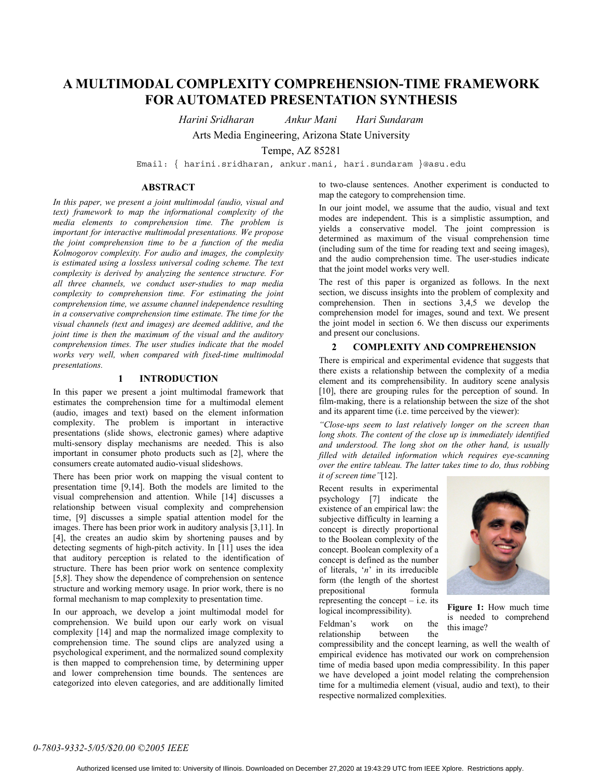# **A MULTIMODAL COMPLEXITY COMPREHENSION-TIME FRAMEWORK FOR AUTOMATED PRESENTATION SYNTHESIS**

*Harini Sridharan Ankur Mani Hari Sundaram* 

Arts Media Engineering, Arizona State University

Tempe, AZ 85281

Email: { harini.sridharan, ankur.mani, hari.sundaram }@asu.edu

# **ABSTRACT**

*In this paper, we present a joint multimodal (audio, visual and text) framework to map the informational complexity of the media elements to comprehension time. The problem is important for interactive multimodal presentations. We propose the joint comprehension time to be a function of the media Kolmogorov complexity. For audio and images, the complexity is estimated using a lossless universal coding scheme. The text complexity is derived by analyzing the sentence structure. For all three channels, we conduct user-studies to map media complexity to comprehension time. For estimating the joint comprehension time, we assume channel independence resulting in a conservative comprehension time estimate. The time for the visual channels (text and images) are deemed additive, and the joint time is then the maximum of the visual and the auditory comprehension times. The user studies indicate that the model works very well, when compared with fixed-time multimodal presentations.* 

## **1 INTRODUCTION**

In this paper we present a joint multimodal framework that estimates the comprehension time for a multimodal element (audio, images and text) based on the element information complexity. The problem is important in interactive presentations (slide shows, electronic games) where adaptive multi-sensory display mechanisms are needed. This is also important in consumer photo products such as [2], where the consumers create automated audio-visual slideshows.

There has been prior work on mapping the visual content to presentation time [9,14]. Both the models are limited to the visual comprehension and attention. While [14] discusses a relationship between visual complexity and comprehension time, [9] discusses a simple spatial attention model for the images. There has been prior work in auditory analysis [3,11]. In [4], the creates an audio skim by shortening pauses and by detecting segments of high-pitch activity. In [11] uses the idea that auditory perception is related to the identification of structure. There has been prior work on sentence complexity [5,8]. They show the dependence of comprehension on sentence structure and working memory usage. In prior work, there is no formal mechanism to map complexity to presentation time.

In our approach, we develop a joint multimodal model for comprehension. We build upon our early work on visual complexity [14] and map the normalized image complexity to comprehension time. The sound clips are analyzed using a psychological experiment, and the normalized sound complexity is then mapped to comprehension time, by determining upper and lower comprehension time bounds. The sentences are categorized into eleven categories, and are additionally limited

to two-clause sentences. Another experiment is conducted to map the category to comprehension time.

In our joint model, we assume that the audio, visual and text modes are independent. This is a simplistic assumption, and yields a conservative model. The joint compression is determined as maximum of the visual comprehension time (including sum of the time for reading text and seeing images), and the audio comprehension time. The user-studies indicate that the joint model works very well.

The rest of this paper is organized as follows. In the next section, we discuss insights into the problem of complexity and comprehension. Then in sections 3,4,5 we develop the comprehension model for images, sound and text. We present the joint model in section 6. We then discuss our experiments and present our conclusions.

## **2 COMPLEXITY AND COMPREHENSION**

There is empirical and experimental evidence that suggests that there exists a relationship between the complexity of a media element and its comprehensibility. In auditory scene analysis [10], there are grouping rules for the perception of sound. In film-making, there is a relationship between the size of the shot and its apparent time (i.e. time perceived by the viewer):

*"Close-ups seem to last relatively longer on the screen than long shots. The content of the close up is immediately identified and understood. The long shot on the other hand, is usually filled with detailed information which requires eye-scanning over the entire tableau. The latter takes time to do, thus robbing it of screen time"*[12].

Recent results in experimental psychology [7] indicate the existence of an empirical law: the subjective difficulty in learning a concept is directly proportional to the Boolean complexity of the concept. Boolean complexity of a concept is defined as the number of literals, '*n*' in its irreducible form (the length of the shortest prepositional formula representing the concept  $-$  i.e. its logical incompressibility).



**Figure 1:** How much time is needed to comprehend this image?

Feldman's work on the relationship between the

compressibility and the concept learning, as well the wealth of empirical evidence has motivated our work on comprehension time of media based upon media compressibility. In this paper we have developed a joint model relating the comprehension time for a multimedia element (visual, audio and text), to their respective normalized complexities.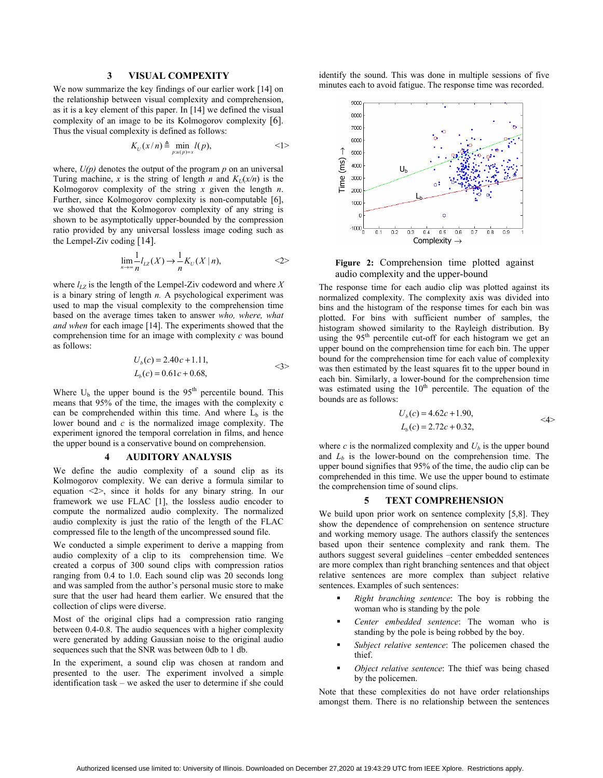# **3 VISUAL COMPEXITY**

We now summarize the key findings of our earlier work [14] on the relationship between visual complexity and comprehension, as it is a key element of this paper. In [14] we defined the visual complexity of an image to be its Kolmogorov complexity [6]. Thus the visual complexity is defined as follows:

$$
K_U(x/n) \triangleq \min_{p: u(p)=x} l(p), \qquad \qquad <1>
$$

where,  $U(p)$  denotes the output of the program  $p$  on an universal Turing machine, *x* is the string of length *n* and  $K_U(x/n)$  is the Kolmogorov complexity of the string *x* given the length *n*. Further, since Kolmogorov complexity is non-computable [6], we showed that the Kolmogorov complexity of any string is shown to be asymptotically upper-bounded by the compression ratio provided by any universal lossless image coding such as the Lempel-Ziv coding [14].

$$
\lim_{n \to \infty} \frac{1}{n} l_{LZ}(X) \to \frac{1}{n} K_U(X \mid n), \qquad \qquad \text{<2>}
$$

where  $l_{LZ}$  is the length of the Lempel-Ziv codeword and where  $X$ is a binary string of length *n.* A psychological experiment was used to map the visual complexity to the comprehension time based on the average times taken to answer *who, where, what and when* for each image [14]. The experiments showed that the comprehension time for an image with complexity *c* was bound as follows:

$$
U_b(c) = 2.40c + 1.11,
$$
  
\n
$$
L_b(c) = 0.61c + 0.68,
$$

Where  $U_b$  the upper bound is the 95<sup>th</sup> percentile bound. This means that 95% of the time, the images with the complexity c can be comprehended within this time. And where  $\hat{L}_b$  is the lower bound and *c* is the normalized image complexity. The experiment ignored the temporal correlation in films, and hence the upper bound is a conservative bound on comprehension.

#### **4 AUDITORY ANALYSIS**

We define the audio complexity of a sound clip as its Kolmogorov complexity. We can derive a formula similar to equation <2>, since it holds for any binary string. In our framework we use FLAC [1], the lossless audio encoder to compute the normalized audio complexity. The normalized audio complexity is just the ratio of the length of the FLAC compressed file to the length of the uncompressed sound file.

We conducted a simple experiment to derive a mapping from audio complexity of a clip to its comprehension time. We created a corpus of 300 sound clips with compression ratios ranging from 0.4 to 1.0. Each sound clip was 20 seconds long and was sampled from the author's personal music store to make sure that the user had heard them earlier. We ensured that the collection of clips were diverse.

Most of the original clips had a compression ratio ranging between 0.4-0.8. The audio sequences with a higher complexity were generated by adding Gaussian noise to the original audio sequences such that the SNR was between 0db to 1 db.

In the experiment, a sound clip was chosen at random and presented to the user. The experiment involved a simple identification task – we asked the user to determine if she could

identify the sound. This was done in multiple sessions of five minutes each to avoid fatigue. The response time was recorded.



**Figure 2:** Comprehension time plotted against audio complexity and the upper-bound

The response time for each audio clip was plotted against its normalized complexity. The complexity axis was divided into bins and the histogram of the response times for each bin was plotted. For bins with sufficient number of samples, the histogram showed similarity to the Rayleigh distribution. By using the 95<sup>th</sup> percentile cut-off for each histogram we get an upper bound on the comprehension time for each bin. The upper bound for the comprehension time for each value of complexity was then estimated by the least squares fit to the upper bound in each bin. Similarly, a lower-bound for the comprehension time was estimated using the  $10<sup>th</sup>$  percentile. The equation of the bounds are as follows: **Example 19**<br> **among the control of the sentences Time (ms)**<br> **Example 19**<br> **among the sentences them. There is no relationship between the control of the sense time of the sense them. The response them of the sense that** 

$$
U_b(c) = 4.62c + 1.90,
$$
  
\n
$$
L_b(c) = 2.72c + 0.32,
$$
  $\langle 4 \rangle$ 

where  $c$  is the normalized complexity and  $U<sub>b</sub>$  is the upper bound and  $L<sub>b</sub>$  is the lower-bound on the comprehension time. The upper bound signifies that 95% of the time, the audio clip can be comprehended in this time. We use the upper bound to estimate the comprehension time of sound clips.

#### **5 TEXT COMPREHENSION**

We build upon prior work on sentence complexity [5,8]. They show the dependence of comprehension on sentence structure and working memory usage. The authors classify the sentences based upon their sentence complexity and rank them. The authors suggest several guidelines –center embedded sentences are more complex than right branching sentences and that object relative sentences are more complex than subject relative sentences. Examples of such sentences:

- *Right branching sentence*: The boy is robbing the woman who is standing by the pole
- *Center embedded sentence*: The woman who is standing by the pole is being robbed by the boy.
- *Subject relative sentence*: The policemen chased the thief.
- *Object relative sentence*: The thief was being chased by the policemen.

Note that these complexities do not have order relationships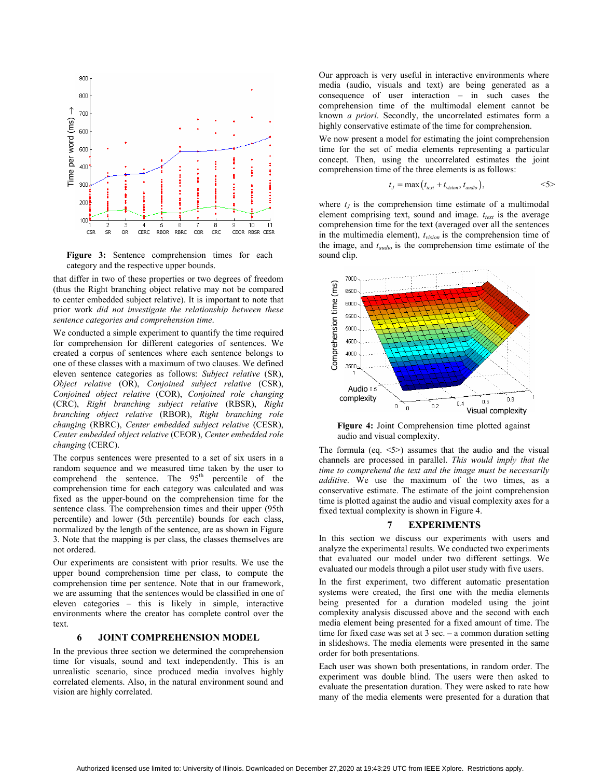

**Figure 3:** Sentence comprehension times for each category and the respective upper bounds.

that differ in two of these properties or two degrees of freedom (thus the Right branching object relative may not be compared to center embedded subject relative). It is important to note that prior work *did not investigate the relationship between these sentence categories and comprehension time*.

We conducted a simple experiment to quantify the time required for comprehension for different categories of sentences. We created a corpus of sentences where each sentence belongs to one of these classes with a maximum of two clauses. We defined eleven sentence categories as follows: *Subject relative* (SR), *Object relative* (OR), *Conjoined subject relative* (CSR), *Conjoined object relative* (COR), *Conjoined role changing* (CRC), *Right branching subject relative* (RBSR), *Right branching object relative* (RBOR), *Right branching role changing* (RBRC), *Center embedded subject relative* (CESR), *Center embedded object relative* (CEOR), *Center embedded role changing* (CERC).

The corpus sentences were presented to a set of six users in a random sequence and we measured time taken by the user to comprehend the sentence. The  $95<sup>th</sup>$  percentile of the comprehension time for each category was calculated and was fixed as the upper-bound on the comprehension time for the sentence class. The comprehension times and their upper (95th percentile) and lower (5th percentile) bounds for each class, normalized by the length of the sentence, are as shown in Figure 3. Note that the mapping is per class, the classes themselves are not ordered.

Our experiments are consistent with prior results. We use the upper bound comprehension time per class, to compute the comprehension time per sentence. Note that in our framework, we are assuming that the sentences would be classified in one of eleven categories – this is likely in simple, interactive environments where the creator has complete control over the text.

## **6 JOINT COMPREHENSION MODEL**

In the previous three section we determined the comprehension time for visuals, sound and text independently. This is an unrealistic scenario, since produced media involves highly correlated elements. Also, in the natural environment sound and vision are highly correlated.

Our approach is very useful in interactive environments where media (audio, visuals and text) are being generated as a consequence of user interaction – in such cases the comprehension time of the multimodal element cannot be known *a priori*. Secondly, the uncorrelated estimates form a highly conservative estimate of the time for comprehension.

We now present a model for estimating the joint comprehension time for the set of media elements representing a particular concept. Then, using the uncorrelated estimates the joint comprehension time of the three elements is as follows:

$$
t_J = \max(t_{text} + t_{vision}, t_{audio}),
$$
  $\langle 5 \rangle$ 

where  $t_j$  is the comprehension time estimate of a multimodal element comprising text, sound and image.  $t_{text}$  is the average comprehension time for the text (averaged over all the sentences in the multimedia element), *tvision* is the comprehension time of the image, and *taudio* is the comprehension time estimate of the sound clip.



**Figure 4:** Joint Comprehension time plotted against audio and visual complexity.

The formula (eq.  $\leq$ 5>) assumes that the audio and the visual channels are processed in parallel. *This would imply that the time to comprehend the text and the image must be necessarily additive.* We use the maximum of the two times, as a conservative estimate. The estimate of the joint comprehension time is plotted against the audio and visual complexity axes for a fixed textual complexity is shown in Figure 4.

## **7 EXPERIMENTS**

In this section we discuss our experiments with users and analyze the experimental results. We conducted two experiments that evaluated our model under two different settings. We evaluated our models through a pilot user study with five users.

In the first experiment, two different automatic presentation systems were created, the first one with the media elements being presented for a duration modeled using the joint complexity analysis discussed above and the second with each media element being presented for a fixed amount of time. The time for fixed case was set at 3 sec. – a common duration setting in slideshows. The media elements were presented in the same order for both presentations.

Each user was shown both presentations, in random order. The experiment was double blind. The users were then asked to evaluate the presentation duration. They were asked to rate how many of the media elements were presented for a duration that